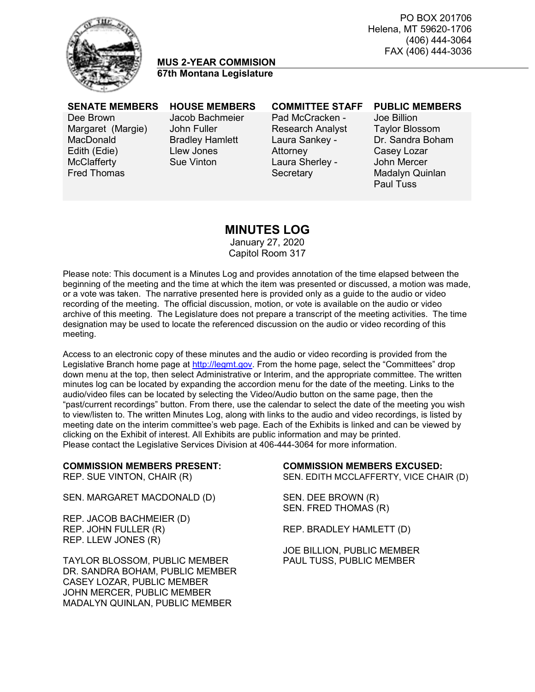PO BOX 201706 Helena, MT 59620-1706 (406) 444-3064 FAX (406) 444-3036



# **MUS 2-YEAR COMMISION 67th Montana Legislature**

Dee Brown Margaret (Margie) **MacDonald** Edith (Edie) **McClafferty** Fred Thomas

Jacob Bachmeier John Fuller Bradley Hamlett Llew Jones Sue Vinton

Pad McCracken - Research Analyst Laura Sankey - Attorney Laura Sherley - **Secretary** 

#### **SENATE MEMBERS HOUSE MEMBERS COMMITTEE STAFF PUBLIC MEMBERS**

Joe Billion Taylor Blossom Dr. Sandra Boham Casey Lozar John Mercer Madalyn Quinlan Paul Tuss

# **MINUTES LOG**

January 27, 2020 Capitol Room 317

Please note: This document is a Minutes Log and provides annotation of the time elapsed between the beginning of the meeting and the time at which the item was presented or discussed, a motion was made, or a vote was taken. The narrative presented here is provided only as a guide to the audio or video recording of the meeting. The official discussion, motion, or vote is available on the audio or video archive of this meeting. The Legislature does not prepare a transcript of the meeting activities. The time designation may be used to locate the referenced discussion on the audio or video recording of this meeting.

Access to an electronic copy of these minutes and the audio or video recording is provided from the Legislative Branch home page at [http://legmt.gov.](http://legmt.gov/) From the home page, select the "Committees" drop down menu at the top, then select Administrative or Interim, and the appropriate committee. The written minutes log can be located by expanding the accordion menu for the date of the meeting. Links to the audio/video files can be located by selecting the Video/Audio button on the same page, then the "past/current recordings" button. From there, use the calendar to select the date of the meeting you wish to view/listen to. The written Minutes Log, along with links to the audio and video recordings, is listed by meeting date on the interim committee's web page. Each of the Exhibits is linked and can be viewed by clicking on the Exhibit of interest. All Exhibits are public information and may be printed. Please contact the Legislative Services Division at 406-444-3064 for more information.

# **COMMISSION MEMBERS PRESENT:**<br>REP. SUE VINTON, CHAIR (R) SEN. EDITH MCCLAFFERTY, VICE CHA

SEN. MARGARET MACDONALD (D) SEN. DEE BROWN (R)

REP. JACOB BACHMEIER (D) REP. JOHN FULLER (R) REP. BRADLEY HAMLETT (D) REP. LLEW JONES (R)

TAYLOR BLOSSOM, PUBLIC MEMBER PAUL TUSS, PUBLIC MEMBER DR. SANDRA BOHAM, PUBLIC MEMBER CASEY LOZAR, PUBLIC MEMBER JOHN MERCER, PUBLIC MEMBER MADALYN QUINLAN, PUBLIC MEMBER

SEN. EDITH MCCLAFFERTY, VICE CHAIR (D)

SEN. FRED THOMAS (R)

JOE BILLION, PUBLIC MEMBER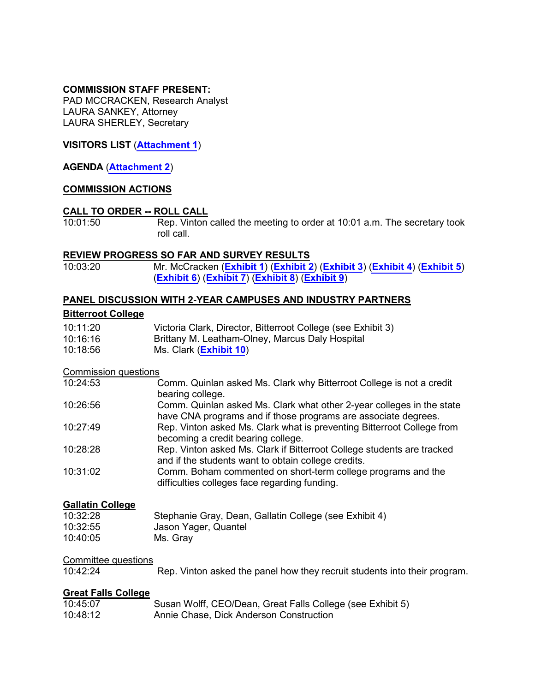### **COMMISSION STAFF PRESENT:**

PAD MCCRACKEN, Research Analyst LAURA SANKEY, Attorney LAURA SHERLEY, Secretary

### **VISITORS LIST** (**[Attachment 1](https://leg.mt.gov/content/Committees/Interim/2019-2020/HB-754-MUS-2-Year-Commission/Minutes/January-2020/MUS-Jan27-2020-At1.pdf)**)

#### **AGENDA** (**[Attachment 2](https://leg.mt.gov/content/Committees/Interim/2019-2020/HB-754-MUS-2-Year-Commission/Jan-2020/Jan-2020-FINAL-agenda.pdf)**)

#### **COMMISSION ACTIONS**

# **CALL TO ORDER -- ROLL CALL**

Rep. Vinton called the meeting to order at 10:01 a.m. The secretary took roll call.

# **REVIEW PROGRESS SO FAR AND SURVEY RESULTS**<br>10:03:20 **Mr. McCracken** (Exhibit 1) (Exhibit 2)

10:03:20 Mr. McCracken (**[Exhibit 1](https://leg.mt.gov/content/Committees/Interim/2019-2020/HB-754-MUS-2-Year-Commission/Jan-2020/MUS-2-Year-Work-Plan-Outline-Jan-2020.pdf)**) (**[Exhibit 2](https://leg.mt.gov/content/Committees/Interim/2019-2020/HB-754-MUS-2-Year-Commission/Jan-2020/Survey-results.pdf)**) (**[Exhibit 3](https://leg.mt.gov/content/Committees/Interim/2019-2020/HB-754-MUS-2-Year-Commission/Jan-2020/BC-CNA-MDMH.pdf)**) (**[Exhibit 4](https://leg.mt.gov/content/Committees/Interim/2019-2020/HB-754-MUS-2-Year-Commission/Jan-2020/GC-photonics.pdf)**) (**[Exhibit 5](https://leg.mt.gov/content/Committees/Interim/2019-2020/HB-754-MUS-2-Year-Commission/Jan-2020/GFC-Dick-Anderson.pdf)**) (**[Exhibit 6](https://leg.mt.gov/content/Committees/Interim/2019-2020/HB-754-MUS-2-Year-Commission/Jan-2020/Helena-Boeing.pdf)**) (**[Exhibit 7](https://leg.mt.gov/content/Committees/Interim/2019-2020/HB-754-MUS-2-Year-Commission/Jan-2020/Highlands-NorthWestern-Energy.pdf)**) (**[Exhibit 8](https://leg.mt.gov/content/Committees/Interim/2019-2020/HB-754-MUS-2-Year-Commission/Minutes/January-2020/MTCC Workforce Development Infographic 2020 [Panels].pdf)**) (**[Exhibit 9](https://leg.mt.gov/content/Committees/Interim/2019-2020/HB-754-MUS-2-Year-Commission/Minutes/January-2020/CTE Definitions Flyer.pdf)**)

#### **PANEL DISCUSSION WITH 2-YEAR CAMPUSES AND INDUSTRY PARTNERS**

### **Bitterroot College**

| 10:11:20 | Victoria Clark, Director, Bitterroot College (see Exhibit 3) |
|----------|--------------------------------------------------------------|
| 10:16:16 | Brittany M. Leatham-Olney, Marcus Daly Hospital              |
| 10:18:56 | Ms. Clark ( <b>Exhibit 10</b> )                              |

#### Commission questions

| 10:24:53 | Comm. Quinlan asked Ms. Clark why Bitterroot College is not a credit<br>bearing college.                                                |
|----------|-----------------------------------------------------------------------------------------------------------------------------------------|
| 10:26:56 | Comm. Quinlan asked Ms. Clark what other 2-year colleges in the state<br>have CNA programs and if those programs are associate degrees. |
| 10:27:49 | Rep. Vinton asked Ms. Clark what is preventing Bitterroot College from<br>becoming a credit bearing college.                            |
| 10:28:28 | Rep. Vinton asked Ms. Clark if Bitterroot College students are tracked<br>and if the students want to obtain college credits.           |
| 10:31:02 | Comm. Boham commented on short-term college programs and the<br>difficulties colleges face regarding funding.                           |

#### **Gallatin College**

| 10:32:28 | Stephanie Gray, Dean, Gallatin College (see Exhibit 4) |
|----------|--------------------------------------------------------|
| 10:32:55 | Jason Yager, Quantel                                   |
| 10:40:05 | Ms. Gray                                               |

# Committee questions<br>10:42:24

Rep. Vinton asked the panel how they recruit students into their program.

#### **Great Falls College**

| 10:45:07 | Susan Wolff, CEO/Dean, Great Falls College (see Exhibit 5) |
|----------|------------------------------------------------------------|
| 10:48:12 | Annie Chase, Dick Anderson Construction                    |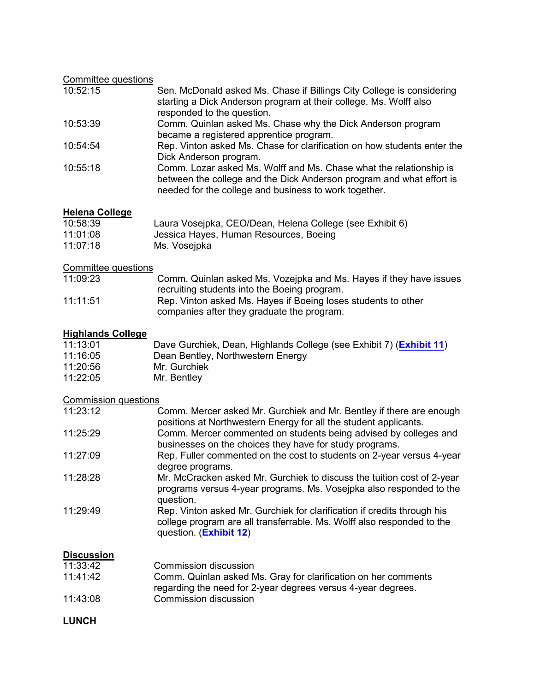# Committee questions

| 10:52:15 | Sen. McDonald asked Ms. Chase if Billings City College is considering<br>starting a Dick Anderson program at their college. Ms. Wolff also<br>responded to the question.                            |
|----------|-----------------------------------------------------------------------------------------------------------------------------------------------------------------------------------------------------|
| 10:53:39 | Comm. Quinlan asked Ms. Chase why the Dick Anderson program<br>became a registered apprentice program.                                                                                              |
| 10:54:54 | Rep. Vinton asked Ms. Chase for clarification on how students enter the<br>Dick Anderson program.                                                                                                   |
| 10:55:18 | Comm. Lozar asked Ms. Wolff and Ms. Chase what the relationship is<br>between the college and the Dick Anderson program and what effort is<br>needed for the college and business to work together. |

# **Helena College**

| 10:58:39 | Laura Vosejpka, CEO/Dean, Helena College (see Exhibit 6) |
|----------|----------------------------------------------------------|
| 11:01:08 | Jessica Hayes, Human Resources, Boeing                   |
| 11:07:18 | Ms. Vosejpka                                             |

# Committee questions

| 11:09:23 | Comm. Quinlan asked Ms. Vozejpka and Ms. Hayes if they have issues |
|----------|--------------------------------------------------------------------|
|          | recruiting students into the Boeing program.                       |
| 11:11:51 | Rep. Vinton asked Ms. Hayes if Boeing loses students to other      |
|          | companies after they graduate the program.                         |

# **Highlands College**

| 11:13:01 | Dave Gurchiek, Dean, Highlands College (see Exhibit 7) (Exhibit 11) |
|----------|---------------------------------------------------------------------|
| 11:16:05 | Dean Bentley, Northwestern Energy                                   |
| 11:20:56 | Mr. Gurchiek                                                        |
| 11:22:05 | Mr. Bentley                                                         |

# Commission questions

| 11:23:12 | Comm. Mercer asked Mr. Gurchiek and Mr. Bentley if there are enough<br>positions at Northwestern Energy for all the student applicants.                                     |
|----------|-----------------------------------------------------------------------------------------------------------------------------------------------------------------------------|
| 11:25:29 | Comm. Mercer commented on students being advised by colleges and<br>businesses on the choices they have for study programs.                                                 |
| 11:27:09 | Rep. Fuller commented on the cost to students on 2-year versus 4-year<br>degree programs.                                                                                   |
| 11:28:28 | Mr. McCracken asked Mr. Gurchiek to discuss the tuition cost of 2-year<br>programs versus 4-year programs. Ms. Vosejpka also responded to the<br>question.                  |
| 11:29:49 | Rep. Vinton asked Mr. Gurchiek for clarification if credits through his<br>college program are all transferrable. Ms. Wolff also responded to the<br>question. (Exhibit 12) |

# **Discussion**

| 11:33:42 | Commission discussion                                          |
|----------|----------------------------------------------------------------|
| 11:41:42 | Comm. Quinlan asked Ms. Gray for clarification on her comments |
|          | regarding the need for 2-year degrees versus 4-year degrees.   |
| 11:43:08 | Commission discussion                                          |

# **LUNCH**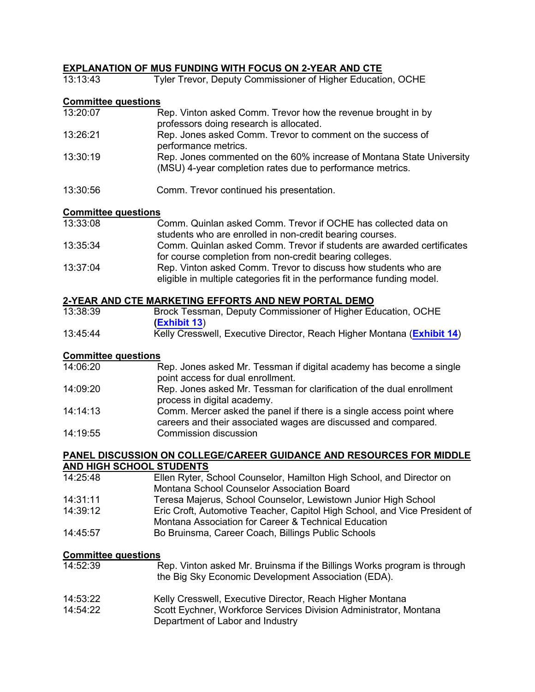### **EXPLANATION OF MUS FUNDING WITH FOCUS ON 2-YEAR AND CTE**

| 13:13:43                   | Tyler Trevor, Deputy Commissioner of Higher Education, OCHE                                                                       |
|----------------------------|-----------------------------------------------------------------------------------------------------------------------------------|
| <b>Committee questions</b> |                                                                                                                                   |
| 13:20:07                   | Rep. Vinton asked Comm. Trevor how the revenue brought in by<br>professors doing research is allocated.                           |
| 13:26:21                   | Rep. Jones asked Comm. Trevor to comment on the success of<br>performance metrics.                                                |
| 13:30:19                   | Rep. Jones commented on the 60% increase of Montana State University<br>(MSU) 4-year completion rates due to performance metrics. |
| 13:30:56                   | Comm. Trevor continued his presentation.                                                                                          |

#### **Committee questions**

| 13:33:08 | Comm. Quinlan asked Comm. Trevor if OCHE has collected data on                                                                          |
|----------|-----------------------------------------------------------------------------------------------------------------------------------------|
|          | students who are enrolled in non-credit bearing courses.                                                                                |
| 13:35:34 | Comm. Quinlan asked Comm. Trevor if students are awarded certificates                                                                   |
|          | for course completion from non-credit bearing colleges.                                                                                 |
| 13:37:04 | Rep. Vinton asked Comm. Trevor to discuss how students who are<br>eligible in multiple categories fit in the performance funding model. |

#### **2-YEAR AND CTE MARKETING EFFORTS AND NEW PORTAL DEMO**

| 13:38:39 | Brock Tessman, Deputy Commissioner of Higher Education, OCHE           |
|----------|------------------------------------------------------------------------|
|          | (Exhibit 13)                                                           |
| 13:45:44 | Kelly Cresswell, Executive Director, Reach Higher Montana (Exhibit 14) |

### **Committee questions**

| 14:06:20 | Rep. Jones asked Mr. Tessman if digital academy has become a single<br>point access for dual enrollment.                               |
|----------|----------------------------------------------------------------------------------------------------------------------------------------|
| 14:09:20 | Rep. Jones asked Mr. Tessman for clarification of the dual enrollment<br>process in digital academy.                                   |
| 14:14:13 | Comm. Mercer asked the panel if there is a single access point where<br>careers and their associated wages are discussed and compared. |
| 14:19:55 | <b>Commission discussion</b>                                                                                                           |

#### **PANEL DISCUSSION ON COLLEGE/CAREER GUIDANCE AND RESOURCES FOR MIDDLE AND HIGH SCHOOL STUDENTS**

| 14:25:48 | Ellen Ryter, School Counselor, Hamilton High School, and Director on       |
|----------|----------------------------------------------------------------------------|
|          | Montana School Counselor Association Board                                 |
| 14:31:11 | Teresa Majerus, School Counselor, Lewistown Junior High School             |
| 14:39:12 | Eric Croft, Automotive Teacher, Capitol High School, and Vice President of |
|          | Montana Association for Career & Technical Education                       |
| 14:45:57 | Bo Bruinsma, Career Coach, Billings Public Schools                         |

### **Committee questions**

| 14:52:39 | Rep. Vinton asked Mr. Bruinsma if the Billings Works program is through |
|----------|-------------------------------------------------------------------------|
|          | the Big Sky Economic Development Association (EDA).                     |

- 14:53:22 Kelly Cresswell, Executive Director, Reach Higher Montana
- 14:54:22 Scott Eychner, Workforce Services Division Administrator, Montana Department of Labor and Industry